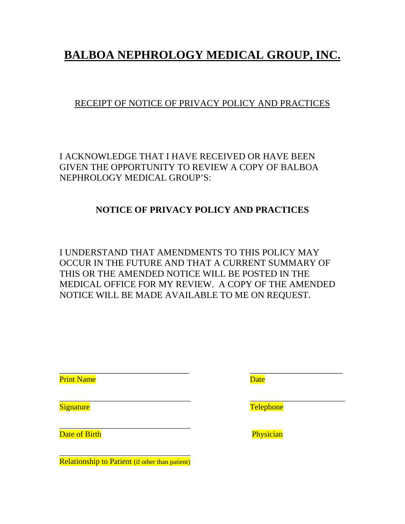## **BALBOA NEPHROLOGY MEDICAL GROUP, INC.**

## RECEIPT OF NOTICE OF PRIVACY POLICY AND PRACTICES

I ACKNOWLEDGE THAT I HAVE RECEIVED OR HAVE BEEN GIVEN THE OPPORTUNITY TO REVIEW A COPY OF BALBOA NEPHROLOGY MEDICAL GROUP'S:

### **NOTICE OF PRIVACY POLICY AND PRACTICES**

I UNDERSTAND THAT AMENDMENTS TO THIS POLICY MAY OCCUR IN THE FUTURE AND THAT A CURRENT SUMMARY OF THIS OR THE AMENDED NOTICE WILL BE POSTED IN THE MEDICAL OFFICE FOR MY REVIEW. A COPY OF THE AMENDED NOTICE WILL BE MADE AVAILABLE TO ME ON REQUEST.

\_\_\_\_\_\_\_\_\_\_\_\_\_\_\_\_\_\_\_\_\_\_\_\_\_\_\_\_ \_\_\_\_\_\_\_\_\_\_\_\_\_\_\_\_\_\_\_\_

 $\overline{\phantom{a}}$  , and the contract of the contract of the contract of the contract of the contract of the contract of the contract of the contract of the contract of the contract of the contract of the contract of the contrac

Print Name **Date** 

Date of Birth **Physician** 

\_\_\_\_\_\_\_\_\_\_\_\_\_\_\_\_\_\_\_\_\_\_\_\_\_\_\_\_\_\_\_\_\_ Relationship to Patient (if other than patient)

 $\overline{\phantom{a}}$  , and the contribution of the contribution of the contribution of the contribution of the contribution of the contribution of the contribution of the contribution of the contribution of the contribution of the Signature **Telephone**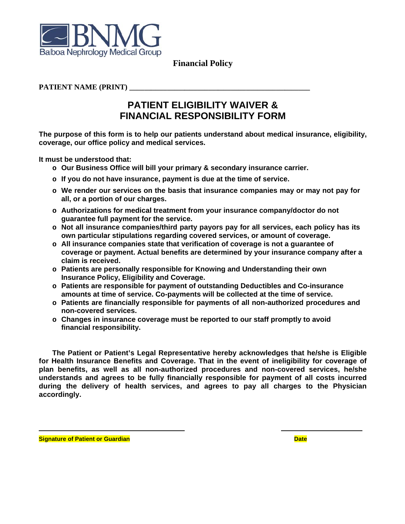

**Financial Policy** 

#### **PATIENT NAME (PRINT)**

## **PATIENT ELIGIBILITY WAIVER & FINANCIAL RESPONSIBILITY FORM**

The purpose of this form is to help our patients understand about medical insurance, eligibility, coverage, our office policy and medical services.

It must be understood that:

- o Our Business Office will bill your primary & secondary insurance carrier.
- o If you do not have insurance, payment is due at the time of service.
- o We render our services on the basis that insurance companies may or may not pay for all, or a portion of our charges.
- o Authorizations for medical treatment from your insurance company/doctor do not guarantee full payment for the service.
- o Not all insurance companies/third party payors pay for all services, each policy has its own particular stipulations regarding covered services, or amount of coverage.
- o All insurance companies state that verification of coverage is not a guarantee of coverage or payment. Actual benefits are determined by your insurance company after a claim is received.
- o Patients are personally responsible for Knowing and Understanding their own **Insurance Policy, Eligibility and Coverage.**
- o Patients are responsible for payment of outstanding Deductibles and Co-insurance amounts at time of service. Co-payments will be collected at the time of service.
- o Patients are financially responsible for payments of all non-authorized procedures and non-covered services.
- o Changes in insurance coverage must be reported to our staff promptly to avoid financial responsibility.

The Patient or Patient's Legal Representative hereby acknowledges that he/she is Eligible for Health Insurance Benefits and Coverage. That in the event of ineligibility for coverage of plan benefits, as well as all non-authorized procedures and non-covered services, he/she understands and agrees to be fully financially responsible for payment of all costs incurred during the delivery of health services, and agrees to pay all charges to the Physician accordingly.

**Signature of Patient or Guardian** 

**Date**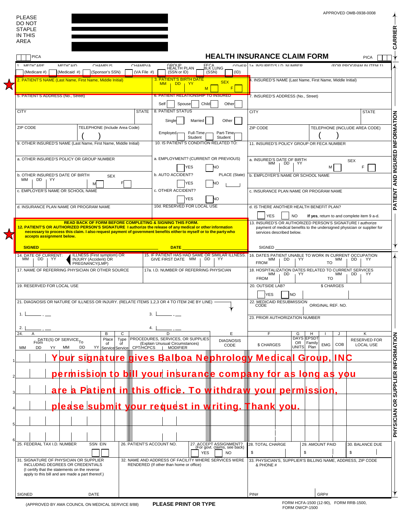| DO NOT<br><b>STAPLE</b>                                                                                                                                                           |                                                                                                                                                                                                                                                                |  |
|-----------------------------------------------------------------------------------------------------------------------------------------------------------------------------------|----------------------------------------------------------------------------------------------------------------------------------------------------------------------------------------------------------------------------------------------------------------|--|
| IN THIS<br>AREA                                                                                                                                                                   |                                                                                                                                                                                                                                                                |  |
| <b>PICA</b>                                                                                                                                                                       | <b>HEALTH INSURANCE CLAIM FORM</b><br><b>PICA</b>                                                                                                                                                                                                              |  |
| MEDICARE<br>MEDICAID<br><b>CHAMPLIS</b><br>CHAMPVA<br>(Medicaid #)<br>(Sponsor's SSN)<br>(VA File #)<br>(Medicare #)                                                              | OTHER 14 INSURED'S ID NUMBER<br>(FOR PROGRAM IN ITEM 1)<br>GROUP<br>HEALTH PLAN<br>EECA<br>BLK LUNG<br>(SSN or ID)<br>(SSN)<br>(ID)                                                                                                                            |  |
| 2. PATIENT'S NAME (Last Name, First Name, Middle Initial)                                                                                                                         | <b>3. PATIENT'S BIRTH DATE</b><br>1. INSURED'S NAME (Last Name, First Name, Middle Initial)<br><b>SEX</b><br><b>MM</b><br>DD.<br>$+YY$<br>F<br>M                                                                                                               |  |
| 5. PATIENT'S ADDRESS (No., Street)                                                                                                                                                | 6. PATIENT RELATIONSHIP TO INSURED<br>7. INSURED'S ADDRESS (No., Street)                                                                                                                                                                                       |  |
| <b>CITY</b><br><b>STATE</b>                                                                                                                                                       | Self<br>Child<br>Spouse<br>Other<br>8. PATIENT STATUS<br><b>CITY</b><br><b>STATE</b>                                                                                                                                                                           |  |
|                                                                                                                                                                                   | Single<br>Married<br>Other                                                                                                                                                                                                                                     |  |
| ZIP CODE<br>TELEPHONE (Include Area Code)                                                                                                                                         | ZIP CODE<br>TELEPHONE (INCLUDE AREA CODE)<br>Full-Time<br>Part-Timer<br>Employed <sub>r</sub>                                                                                                                                                                  |  |
| 9. OTHER INSURED'S NAME (Last Name, First Name, Middle Initial)                                                                                                                   | Student<br>Student<br>10. IS PATIENT'S CONDITION RELATED TO:<br>11. INSURED'S POLICY GROUP OR FECA NUMBER                                                                                                                                                      |  |
| a. OTHER INSURED'S POLICY OR GROUP NUMBER                                                                                                                                         | a. EMPLOYMENT? (CURRENT OR PREVIOUS)<br>a. INSURED'S DATE OF BIRTH                                                                                                                                                                                             |  |
|                                                                                                                                                                                   | <b>SEX</b><br>МM<br>DD YY<br>F<br>YES<br>м                                                                                                                                                                                                                     |  |
| b. OTHER INSURED'S DATE OF BIRTH<br><b>SEX</b><br>MM DD YY                                                                                                                        | b. AUTO ACCIDENT?<br>PLACE (State)<br>b. EMPLOYER'S NAME OR SCHOOL NAME<br>YES<br>NO                                                                                                                                                                           |  |
| c. EMPLOYER'S NAME OR SCHOOL NAME                                                                                                                                                 | c. OTHER ACCIDENT?<br>c. INSURANCE PLAN NAME OR PROGRAM NAME                                                                                                                                                                                                   |  |
|                                                                                                                                                                                   | YES<br>NΟ<br>10d. RESERVED FOR LOCAL USE                                                                                                                                                                                                                       |  |
| d. INSURANCE PLAN NAME OR PROGRAM NAME                                                                                                                                            | d. IS THERE ANOTHER HEALTH BENEFIT PLAN?<br><b>YES</b><br><b>NO</b><br>If yes, return to and complete item 9 a-d.                                                                                                                                              |  |
| <b>READ BACK OF FORM BEFORE COMPLETING &amp; SIGNING THIS FORM.</b><br>12. PATIENT'S OR AUTHORIZED PERSON'S SIGNATURE I authorize the release of any medical or other information | 13. INSURED'S OR AUTHORIZED PERSON'S SIGNATURE I authorize<br>payment of medical benefits to the undersigned physician or supplier for                                                                                                                         |  |
| necessary to process this claim. I also request payment of government benefits either to myself or to the party who<br>accepts assignment below.                                  | services described below.                                                                                                                                                                                                                                      |  |
| SIGNED <sub>_</sub>                                                                                                                                                               | <b>DATE <i>CONTRACTE DATE</i></b><br>SIGNED                                                                                                                                                                                                                    |  |
| <b>ILLNESS (First symptom) OR</b><br>14. DATE OF CURRENT:<br>MM <sub>I</sub><br>$DD + YY$<br><b>INJURY (Accident) OR</b><br>PREGNANCY(LMP)                                        | 15. IF PATIENT HAS HAD SAME OR SIMILAR ILLNESS.<br>16. DATES PATIENT UNABLE TO WORK IN CURRENT OCCUPATION<br><b>MM</b><br>$\overline{1}$ DD<br>GIVE FIRST DATE MM  <br>DD<br>DD 1<br>YY.<br>∣ YY<br>MM<br>YY.<br><b>FROM</b><br>TO                             |  |
| 17. NAME OF REFERRING PHYSICIAN OR OTHER SOURCE                                                                                                                                   | 18. HOSPITALIZATION DATES RELATED TO CURRENT SERVICES<br>17a. I.D. NUMBER OF REFERRING PHYSICIAN<br>MМ<br>DD<br>DD<br>YY.<br>⊢YY ⊦<br>мм                                                                                                                       |  |
| 19. RESERVED FOR LOCAL USE                                                                                                                                                        | <b>FROM</b><br>TO<br>\$ CHARGES<br>20. OUTSIDE LAB?                                                                                                                                                                                                            |  |
| 21. DIAGNOSIS OR NATURE OF ILLNESS OR INJURY. (RELATE ITEMS 1,2,3 OR 4 TO ITEM 24E BY LINE) -                                                                                     | N <sub>O</sub><br>YES                                                                                                                                                                                                                                          |  |
|                                                                                                                                                                                   | 22. MEDICAID RESUBMISSION<br>ORIGINAL REF. NO.                                                                                                                                                                                                                 |  |
| 1.1                                                                                                                                                                               | 23. PRIOR AUTHORIZATION NUMBER                                                                                                                                                                                                                                 |  |
| 2.<br>24.<br>B<br>C                                                                                                                                                               | E.<br>F<br>G<br>H<br>Κ<br>J                                                                                                                                                                                                                                    |  |
| Place<br>Type<br>From E(S) OF SERVICE <sub>To</sub><br>0f<br>of<br><b>DD</b><br>YY Service Service<br>CPT/HCPCS<br>MМ<br><b>DD</b><br>МM<br>YY                                    | <b>DAYS EPSDT</b><br>PROCEDURES, SERVICES, OR SUPPLIES<br><b>RESERVED FOR</b><br><b>DIAGNOSIS</b><br>OR   Family<br>(Explain Unusual Circumstances)<br><b>EMG</b><br>COB<br><b>\$ CHARGES</b><br><b>LOCAL USE</b><br>CODE<br>UNITS <br>Plan<br><b>MODIFIER</b> |  |
|                                                                                                                                                                                   | <u>/our signature gives Balboa Nephrology Medical Group,</u><br><b>INC</b>                                                                                                                                                                                     |  |
|                                                                                                                                                                                   |                                                                                                                                                                                                                                                                |  |
|                                                                                                                                                                                   | permission to bill your insurance company for as long as you                                                                                                                                                                                                   |  |
|                                                                                                                                                                                   | are a Patient in this office. To withdraw your permission                                                                                                                                                                                                      |  |
|                                                                                                                                                                                   | <u>please submit your request in writing. Thank you.</u>                                                                                                                                                                                                       |  |
|                                                                                                                                                                                   |                                                                                                                                                                                                                                                                |  |
|                                                                                                                                                                                   |                                                                                                                                                                                                                                                                |  |
|                                                                                                                                                                                   |                                                                                                                                                                                                                                                                |  |
| 25. FEDERAL TAX I.D. NUMBER<br><b>SSN EIN</b><br>26. PATIENT'S ACCOUNT NO.                                                                                                        | 27. ACCEPT ASSIGNMENT?<br>(For govt. claims, see back)<br>28. TOTAL CHARGE<br>29. AMOUNT PAID<br>30. BALANCE DUE<br><b>YES</b><br>\$<br>\$<br>\$<br>NO                                                                                                         |  |
| 31. SIGNATURE OF PHYSICIAN OR SUPPLIER<br>INCLUDING DEGREES OR CREDENTIALS                                                                                                        | 32. NAME AND ADDRESS OF FACILITY WHERE SERVICES WERE<br>33. PHYSICIAN'S, SUPPLIER'S BILLING NAME, ADDRESS, ZIP CODE<br>RENDERED (If other than home or office)<br>& PHONE #                                                                                    |  |
|                                                                                                                                                                                   |                                                                                                                                                                                                                                                                |  |
| (I certify that the statements on the reverse<br>apply to this bill and are made a part thereof.)                                                                                 |                                                                                                                                                                                                                                                                |  |